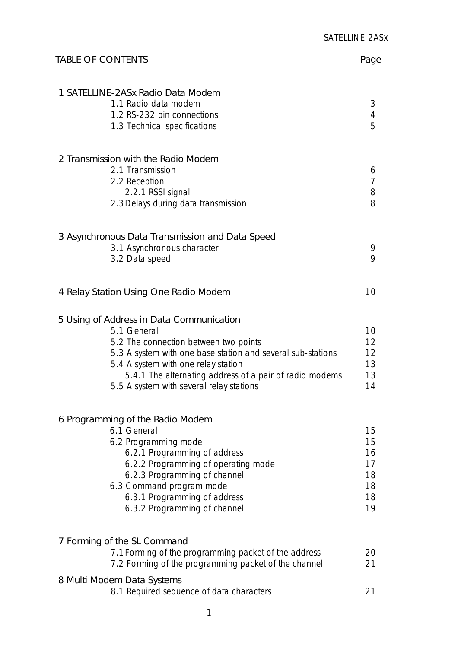| <b>TABLE OF CONTENTS</b>                                                                                                                                                                                                                                                                                      | Page                                         |
|---------------------------------------------------------------------------------------------------------------------------------------------------------------------------------------------------------------------------------------------------------------------------------------------------------------|----------------------------------------------|
| 1 SATELLINE-2ASx Radio Data Modem<br>1.1 Radio data modem<br>1.2 RS-232 pin connections<br>1.3 Technical specifications                                                                                                                                                                                       | 3<br>$\overline{4}$<br>5                     |
| 2 Transmission with the Radio Modem<br>2.1 Transmission<br>2.2 Reception<br>2.2.1 RSSI signal<br>2.3 Delays during data transmission                                                                                                                                                                          | 6<br>7<br>8<br>8                             |
| 3 Asynchronous Data Transmission and Data Speed<br>3.1 Asynchronous character<br>3.2 Data speed                                                                                                                                                                                                               | 9<br>9                                       |
| 4 Relay Station Using One Radio Modem                                                                                                                                                                                                                                                                         | 10                                           |
| 5 Using of Address in Data Communication<br>5.1 General<br>5.2 The connection between two points<br>5.3 A system with one base station and several sub-stations<br>5.4 A system with one relay station<br>5.4.1 The alternating address of a pair of radio modems<br>5.5 A system with several relay stations | 10<br>12<br>12<br>13<br>13<br>14             |
| 6 Programming of the Radio Modem<br>6.1 General<br>6.2 Programming mode<br>6.2.1 Programming of address<br>6.2.2 Programming of operating mode<br>6.2.3 Programming of channel<br>6.3 Command program mode<br>6.3.1 Programming of address<br>6.3.2 Programming of channel                                    | 15<br>15<br>16<br>17<br>18<br>18<br>18<br>19 |
| 7 Forming of the SL Command<br>7.1 Forming of the programming packet of the address<br>7.2 Forming of the programming packet of the channel                                                                                                                                                                   | 20<br>21                                     |
| 8 Multi Modem Data Systems<br>8.1 Required sequence of data characters                                                                                                                                                                                                                                        | 21                                           |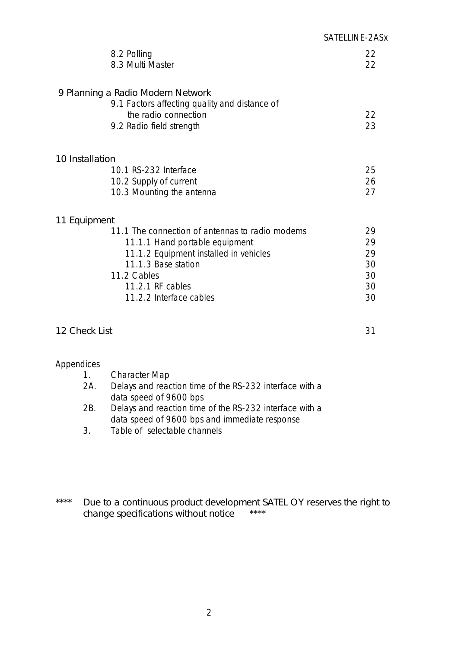|                  |                                                                                                                                                                                                                  | SATELLINE-2ASx                         |
|------------------|------------------------------------------------------------------------------------------------------------------------------------------------------------------------------------------------------------------|----------------------------------------|
|                  | 8.2 Polling<br>8.3 Multi Master                                                                                                                                                                                  | 22<br>22                               |
|                  | 9 Planning a Radio Modem Network<br>9.1 Factors affecting quality and distance of<br>the radio connection<br>9.2 Radio field strength                                                                            | 22<br>23                               |
| 10 Installation  |                                                                                                                                                                                                                  |                                        |
|                  | 10.1 RS-232 Interface                                                                                                                                                                                            | 25                                     |
|                  | 10.2 Supply of current<br>10.3 Mounting the antenna                                                                                                                                                              | 26<br>27                               |
| 11 Equipment     |                                                                                                                                                                                                                  |                                        |
|                  | 11.1 The connection of antennas to radio modems<br>11.1.1 Hand portable equipment<br>11.1.2 Equipment installed in vehicles<br>11.1.3 Base station<br>11.2 Cables<br>11.2.1 RF cables<br>11.2.2 Interface cables | 29<br>29<br>29<br>30<br>30<br>30<br>30 |
| 12 Check List    |                                                                                                                                                                                                                  | 31                                     |
| Appendices<br>1. | <b>Character Map</b>                                                                                                                                                                                             |                                        |

- 2A. Delays and reaction time of the RS-232 interface with a data speed of 9600 bps
- 2B. Delays and reaction time of the RS-232 interface with a data speed of 9600 bps and immediate response
- 3. Table of selectable channels
- \*\*\*\* Due to a continuous product development SATEL OY reserves the right to change specifications without notice \*\*\*\*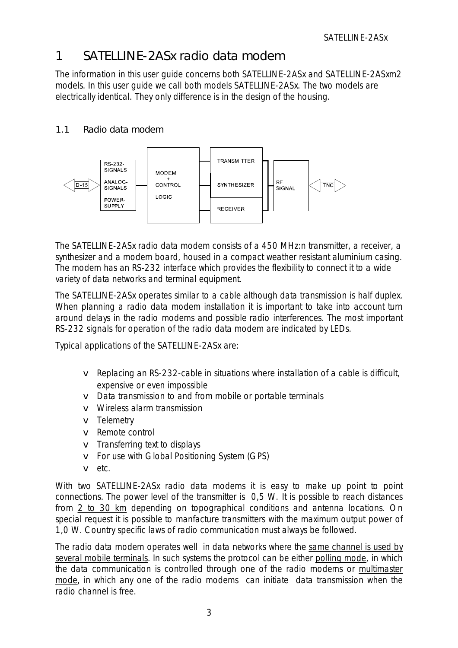## <span id="page-2-0"></span>1 SATELLINE-2ASx radio data modem

The information in this user guide concerns both SATELLINE-2ASx and SATELLINE-2ASxm2 models. In this user guide we call both models SATELLINE-2ASx. The two models are electrically identical. They only difference is in the design of the housing.

## 1.1 Radio data modem



The SATELLINE-2ASx radio data modem consists of a 450 MHz:n transmitter, a receiver, a synthesizer and a modem board, housed in a compact weather resistant aluminium casing. The modem has an RS-232 interface which provides the flexibility to connect it to a wide variety of data networks and terminal equipment.

The SATELLINE-2ASx operates similar to a cable although data transmission is half duplex. When planning a radio data modem installation it is important to take into account turn around delays in the radio modems and possible radio interferences. The most important RS-232 signals for operation of the radio data modem are indicated by LEDs.

Typical applications of the SATELLINE-2ASx are:

- v Replacing an RS-232-cable in situations where installation of a cable is difficult, expensive or even impossible
- v Data transmission to and from mobile or portable terminals
- v Wireless alarm transmission
- v Telemetry
- v Remote control
- v Transferring text to displays
- v For use with Global Positioning System (GPS)
- v etc.

With two SATELLINE-2ASx radio data modems it is easy to make up point to point connections. The power level of the transmitter is 0,5 W. It is possible to reach distances from 2 to 30 km depending on topographical conditions and antenna locations. On special request it is possible to manfacture transmitters with the maximum output power of 1,0 W. Country specific laws of radio communication must always be followed.

The radio data modem operates well in data networks where the same channel is used by several mobile terminals. In such systems the protocol can be either polling mode, in which the data communication is controlled through one of the radio modems or multimaster mode, in which any one of the radio modems can initiate data transmission when the radio channel is free.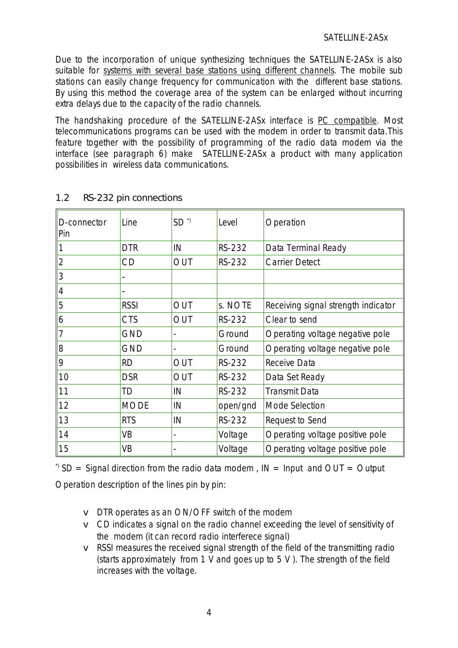Due to the incorporation of unique synthesizing techniques the SATELLINE-2ASx is also suitable for systems with several base stations using different channels. The mobile sub stations can easily change frequency for communication with the different base stations. By using this method the coverage area of the system can be enlarged without incurring extra delays due to the capacity of the radio channels.

The handshaking procedure of the SATELLINE-2ASx interface is PC compatible. Most telecommunications programs can be used with the modem in order to transmit data.This feature together with the possibility of programming of the radio data modem via the interface (see paragraph 6) make SATELLINE-2ASx a product with many application possibilities in wireless data communications.

| D-connector<br>Pin | Line        | $SD^{\gamma}$  | Level         | Operation                           |
|--------------------|-------------|----------------|---------------|-------------------------------------|
| 11                 | <b>DTR</b>  | IN             | RS-232        | Data Terminal Ready                 |
| 2                  | CD          | <b>OUT</b>     | <b>RS-232</b> | <b>Carrier Detect</b>               |
| 3                  |             |                |               |                                     |
| $\vert 4$          |             |                |               |                                     |
| 5                  | <b>RSSI</b> | OUT            | s. NOTE       | Receiving signal strength indicator |
| $\overline{6}$     | <b>CTS</b>  | <b>OUT</b>     | RS-232        | Clear to send                       |
| $\vert$ 7          | <b>GND</b>  |                | Ground        | Operating voltage negative pole     |
| 8                  | <b>GND</b>  |                | Ground        | Operating voltage negative pole     |
| 9                  | <b>RD</b>   | <b>OUT</b>     | <b>RS-232</b> | Receive Data                        |
| 10                 | <b>DSR</b>  | <b>OUT</b>     | RS-232        | Data Set Ready                      |
| 11                 | TD          | IN             | RS-232        | <b>Transmit Data</b>                |
| 12                 | <b>MODE</b> | IN             | open/gnd      | Mode Selection                      |
| 13                 | <b>RTS</b>  | IN             | RS-232        | Request to Send                     |
| 14                 | VB          | $\overline{a}$ | Voltage       | Operating voltage positive pole     |
| 15                 | VB          |                | Voltage       | Operating voltage positive pole     |

## <span id="page-3-0"></span>1.2 RS-232 pin connections

 $\beta$  SD = Signal direction from the radio data modem, IN = Input and OUT = Output

Operation description of the lines pin by pin:

- v DTR operates as an ON/OFF switch of the modem
- v CD indicates a signal on the radio channel exceeding the level of sensitivity of the modem (it can record radio interferece signal)
- v RSSI measures the received signal strength of the field of the transmitting radio (starts approximately from 1 V and goes up to 5 V ). The strength of the field increases with the voltage.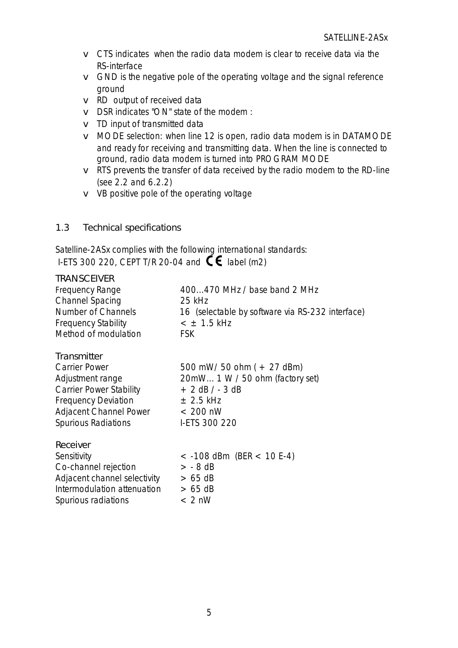- v CTS indicates when the radio data modem is clear to receive data via the RS-interface
- v GND is the negative pole of the operating voltage and the signal reference ground
- v RD output of received data
- v DSR indicates "ON" state of the modem :
- v TD input of transmitted data
- v MODE selection: when line 12 is open, radio data modem is in DATAMODE and ready for receiving and transmitting data. When the line is connected to ground, radio data modem is turned into PROGRAM MODE
- v RTS prevents the transfer of data received by the radio modem to the RD-line (see 2.2 and 6.2.2)
- v VB positive pole of the operating voltage
- <span id="page-4-0"></span>1.3 Technical specifications

Satelline-2ASx complies with the following international standards: I-ETS 300 220, CEPT T/R 20-04 and  $\mathbf{C}\boldsymbol{\epsilon}$  label (m2)

| <b>TRANSCEIVER</b>           |                                                  |
|------------------------------|--------------------------------------------------|
| Frequency Range              | 400470 MHz / base band 2 MHz                     |
| <b>Channel Spacing</b>       | 25 kHz                                           |
| Number of Channels           | 16 (selectable by software via RS-232 interface) |
| <b>Frequency Stability</b>   | $<$ $\pm$ 1.5 kHz                                |
| Method of modulation         | <b>FSK</b>                                       |
| Transmitter                  |                                                  |
| <b>Carrier Power</b>         | 500 mW/ 50 ohm $(+ 27$ dBm)                      |
| Adjustment range             | 20mW 1 W / 50 ohm (factory set)                  |
| Carrier Power Stability      | $+ 2$ dB $/ - 3$ dB                              |
| <b>Frequency Deviation</b>   | $\pm$ 2.5 kHz                                    |
| Adjacent Channel Power       | $< 200$ nW                                       |
| <b>Spurious Radiations</b>   | I-ETS 300 220                                    |
| Receiver                     |                                                  |
| Sensitivity                  | $<$ -108 dBm (BER $<$ 10 E-4)                    |
| Co-channel rejection         | $> -8$ dB                                        |
| Adjacent channel selectivity | $> 65$ dB                                        |
| Intermodulation attenuation  | $> 65$ dB                                        |
| Spurious radiations          | $< 2$ nW                                         |
|                              |                                                  |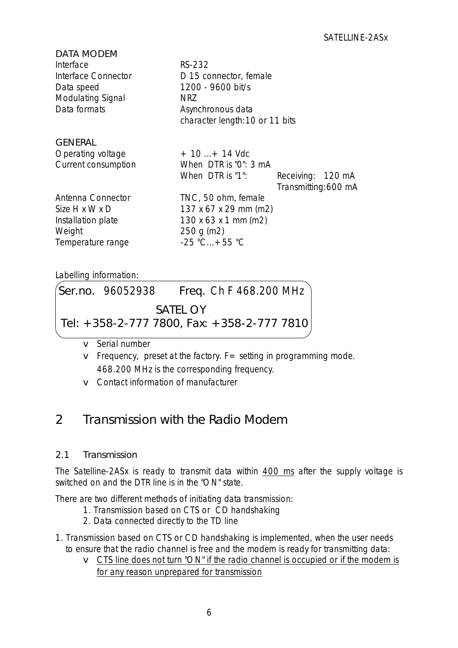| DATA MODEM               |                                          |                      |
|--------------------------|------------------------------------------|----------------------|
| Interface                | RS-232                                   |                      |
| Interface Connector      | D 15 connector, female                   |                      |
| Data speed               | 1200 - 9600 bit/s                        |                      |
| <b>Modulating Signal</b> | <b>NRZ</b>                               |                      |
| Data formats             | Asynchronous data                        |                      |
|                          | character length: 10 or 11 bits          |                      |
| <b>GENERAL</b>           |                                          |                      |
| Operating voltage        | $+10+14$ Vdc                             |                      |
| Current consumption      | When $DTR$ is "0": 3 mA                  |                      |
|                          | When DTR is "1":                         | Receiving: 120 mA    |
|                          |                                          | Transmitting: 600 mA |
| Antenna Connector        | TNC, 50 ohm, female                      |                      |
| Size H x W x D           | 137 x 67 x 29 mm (m2)                    |                      |
| Installation plate       | $130 \times 63 \times 1 \text{ mm (m2)}$ |                      |
| Weight                   | 250 g(m2)                                |                      |
| Temperature range        | $-25 °C + 55 °C$                         |                      |
|                          |                                          |                      |

<span id="page-5-0"></span>Labelling information:

|  | $\left($ Ser.no. 96052938 Freq. Ch F 468.200 MHz $\left.\right)$ |
|--|------------------------------------------------------------------|
|  | <b>SATEL OY</b>                                                  |
|  | Tel: +358-2-777 7800, Fax: +358-2-777 7810                       |

- v Serial number
- $\mathbf v$  Frequency, preset at the factory.  $\mathbf F =$  setting in programming mode. 468.200 MHz is the corresponding frequency.
- v Contact information of manufacturer

# 2 Transmission with the Radio Modem

## 2.1 Transmission

The Satelline-2ASx is ready to transmit data within 400 ms after the supply voltage is switched on and the DTR line is in the "ON" state.

There are two different methods of initiating data transmission:

- 1. Transmission based on CTS or CD handshaking
	- 2. Data connected directly to the TD line
- 1. Transmission based on CTS or CD handshaking is implemented, when the user needs to ensure that the radio channel is free and the modem is ready for transmitting data:
	- v CTS line does not turn "ON" if the radio channel is occupied or if the modem is for any reason unprepared for transmission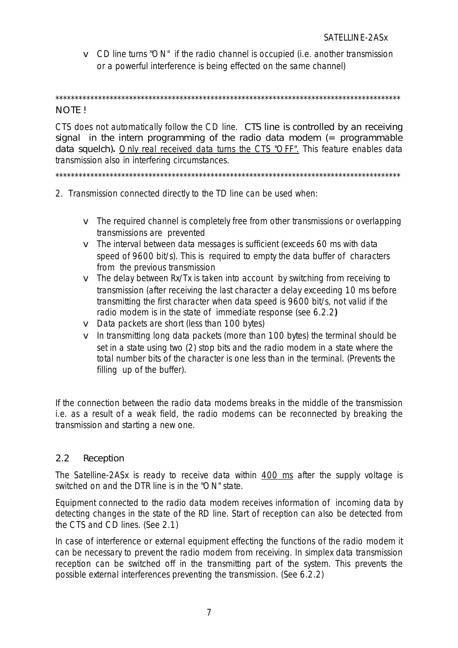<span id="page-6-0"></span>v CD line turns "ON" if the radio channel is occupied (i.e. another transmission or a powerful interference is being effected on the same channel)

\*\*\*\*\*\*\*\*\*\*\*\*\*\*\*\*\*\*\*\*\*\*\*\*\*\*\*\*\*\*\*\*\*\*\*\*\*\*\*\*\*\*\*\*\*\*\*\*\*\*\*\*\*\*\*\*\*\*\*\*\*\*\*\*\*\*\*\*\*\*\*\*\*\*\*\*\*\*\*\*\*\*\*\*\*\*\*\*\*

#### NOTE !

CTS does not automatically follow the CD line. CTS line is controlled by an receiving signal in the intern programming of the radio data modem  $($  = programmable data squelch)**.** Only real received data turns the CTS "OFF". This feature enables data transmission also in interfering circumstances.

\*\*\*\*\*\*\*\*\*\*\*\*\*\*\*\*\*\*\*\*\*\*\*\*\*\*\*\*\*\*\*\*\*\*\*\*\*\*\*\*\*\*\*\*\*\*\*\*\*\*\*\*\*\*\*\*\*\*\*\*\*\*\*\*\*\*\*\*\*\*\*\*\*\*\*\*\*\*\*\*\*\*\*\*\*\*\*\*\*

- 2. Transmission connected directly to the TD line can be used when:
	- v The required channel is completely free from other transmissions or overlapping transmissions are prevented
	- v The interval between data messages is sufficient (exceeds 60 ms with data speed of 9600 bit/s). This is required to empty the data buffer of characters from the previous transmission
	- $\mathbf v$  The delay between Rx/Tx is taken into account by switching from receiving to transmission (after receiving the last character a delay exceeding 10 ms before transmitting the first character when data speed is 9600 bit/s, not valid if the radio modem is in the state of immediate response (see 6.2.2**)**
	- v Data packets are short (less than 100 bytes)
	- v In transmitting long data packets (more than 100 bytes) the terminal should be set in a state using two (2) stop bits and the radio modem in a state where the total number bits of the character is one less than in the terminal. (Prevents the filling up of the buffer).

If the connection between the radio data modems breaks in the middle of the transmission i.e. as a result of a weak field, the radio modems can be reconnected by breaking the transmission and starting a new one.

#### 2.2 Reception

The Satelline-2ASx is ready to receive data within 400 ms after the supply voltage is switched on and the DTR line is in the "ON" state.

Equipment connected to the radio data modem receives information of incoming data by detecting changes in the state of the RD line. Start of reception can also be detected from the CTS and CD lines. (See 2.1)

In case of interference or external equipment effecting the functions of the radio modem it can be necessary to prevent the radio modem from receiving. In simplex data transmission reception can be switched off in the transmitting part of the system. This prevents the possible external interferences preventing the transmission. (See 6.2.2)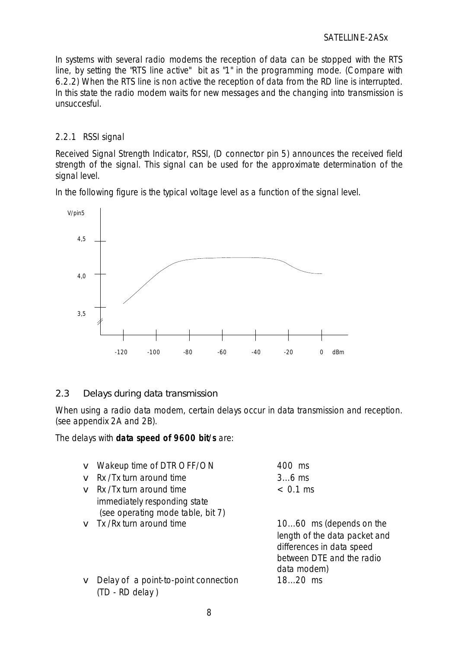#### SATELLINE-2ASx

<span id="page-7-1"></span><span id="page-7-0"></span>In systems with several radio modems the reception of data can be stopped with the RTS line, by setting the "RTS line active" bit as "1" in the programming mode. (Compare with 6.2.2) When the RTS line is non active the reception of data from the RD line is interrupted. In this state the radio modem waits for new messages and the changing into transmission is unsuccesful.

#### 2.2.1 RSSI signal

Received Signal Strength Indicator, RSSI, (D connector pin 5) announces the received field strength of the signal. This signal can be used for the approximate determination of the signal level.

In the following figure is the typical voltage level as a function of the signal level.



## 2.3 Delays during data transmission

When using a radio data modem, certain delays occur in data transmission and reception. (see appendix 2A and 2B).

The delays with **data speed of 9600 bit/s** are:

|              | <b>v</b> Wakeup time of DTR OFF/ON   | 400 ms                        |
|--------------|--------------------------------------|-------------------------------|
| $\mathbf{V}$ | Rx /Tx turn around time              | $36$ ms                       |
|              | $\mathbf v$ Rx /Tx turn around time  | $< 0.1$ ms                    |
|              | immediately responding state         |                               |
|              | (see operating mode table, bit 7)    |                               |
|              | $\mathbf v$ Tx /Rx turn around time  | 1060 ms (depends on the       |
|              |                                      | length of the data packet and |
|              |                                      | differences in data speed     |
|              |                                      | between DTE and the radio     |
|              |                                      | data modem)                   |
| V            | Delay of a point-to-point connection | 1820 ms                       |
|              | (TD - RD delay)                      |                               |
|              |                                      |                               |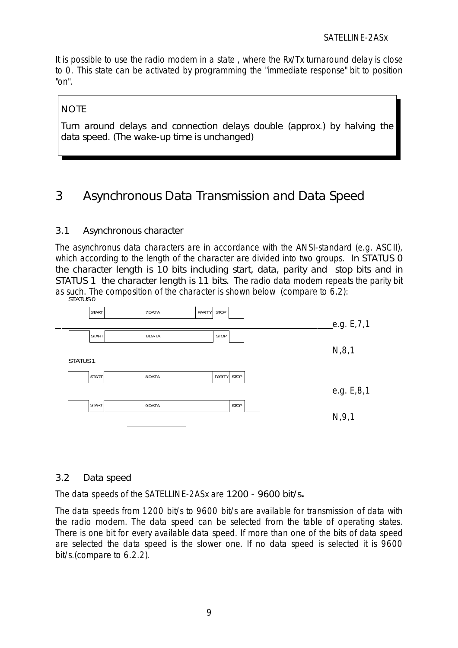<span id="page-8-1"></span>It is possible to use the radio modem in a state , where the Rx/Tx turnaround delay is close to 0. This state can be activated by programming the "immediate response" bit to position "on".

## **NOTE**

<span id="page-8-0"></span>Turn around delays and connection delays double (approx.) by halving the data speed. (The wake-up time is unchanged)

## 3 Asynchronous Data Transmission and Data Speed

## <span id="page-8-2"></span>3.1 Asynchronous character

The asynchronus data characters are in accordance with the ANSI-standard (e.g. ASCII), which according to the length of the character are divided into two groups. In STATUS 0 the character length is 10 bits including start, data, parity and stop bits and in STATUS 1 the character length is 11 bits. The radio data modem repeats the parity bit as such. The composition of the character is shown below (compare to 6.2): STATUS<sup>O</sup>



## 3.2 Data speed

The data speeds of the SATELLINE-2ASx are 1200 - 9600 bit/s**.**

The data speeds from 1200 bit/s to 9600 bit/s are available for transmission of data with the radio modem. The data speed can be selected from the table of operating states. There is one bit for every available data speed. If more than one of the bits of data speed are selected the data speed is the slower one. If no data speed is selected it is 9600 bit/s.(compare to 6.2.2).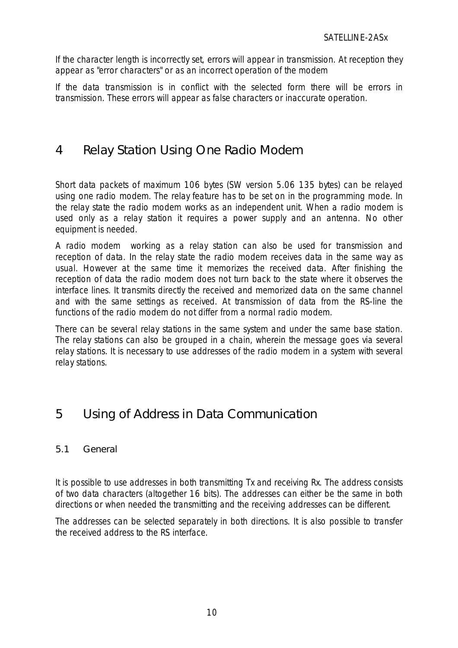<span id="page-9-0"></span>If the character length is incorrectly set, errors will appear in transmission. At reception they appear as "error characters" or as an incorrect operation of the modem

If the data transmission is in conflict with the selected form there will be errors in transmission. These errors will appear as false characters or inaccurate operation.

## 4 Relay Station Using One Radio Modem

Short data packets of maximum 106 bytes (SW version 5.06 135 bytes) can be relayed using one radio modem. The relay feature has to be set on in the programming mode. In the relay state the radio modem works as an independent unit. When a radio modem is used only as a relay station it requires a power supply and an antenna. No other equipment is needed.

<span id="page-9-1"></span>A radio modem working as a relay station can also be used for transmission and reception of data. In the relay state the radio modem receives data in the same way as usual. However at the same time it memorizes the received data. After finishing the reception of data the radio modem does not turn back to the state where it observes the interface lines. It transmits directly the received and memorized data on the same channel and with the same settings as received. At transmission of data from the RS-line the functions of the radio modem do not differ from a normal radio modem.

There can be several relay stations in the same system and under the same base station. The relay stations can also be grouped in a chain, wherein the message goes via several relay stations. It is necessary to use addresses of the radio modem in a system with several relay stations.

## 5 Using of Address in Data Communication

## 5.1 General

It is possible to use addresses in both transmitting Tx and receiving Rx. The address consists of two data characters (altogether 16 bits). The addresses can either be the same in both directions or when needed the transmitting and the receiving addresses can be different.

The addresses can be selected separately in both directions. It is also possible to transfer the received address to the RS interface.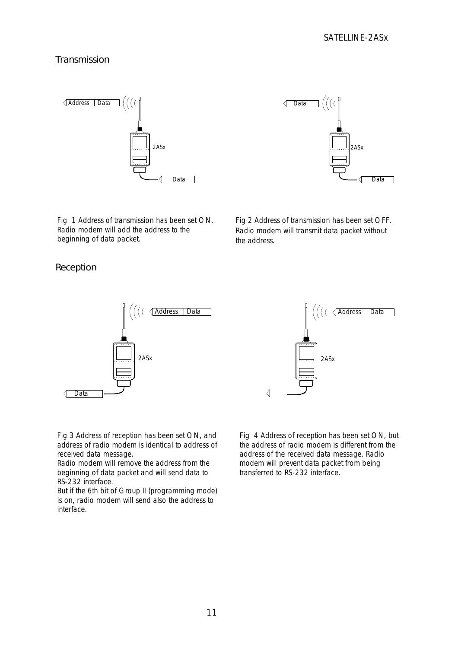#### Transmission





Fig 1 Address of transmission has been set ON. Radio modem will add the address to the beginning of data packet.

Fig 2 Address of transmission has been set OFF. Radio modem will transmit data packet without the address.

Reception





Fig 3 Address of reception has been set ON, and address of radio modem is identical to address of received data message.

Radio modem will remove the address from the beginning of data packet and will send data to RS-232 interface.

But if the 6th bit of Group II (programming mode) is on, radio modem will send also the address to interface.

Fig 4 Address of reception has been set ON, but the address of radio modem is different from the address of the received data message. Radio modem will prevent data packet from being transferred to RS-232 interface.

 $\triangleleft$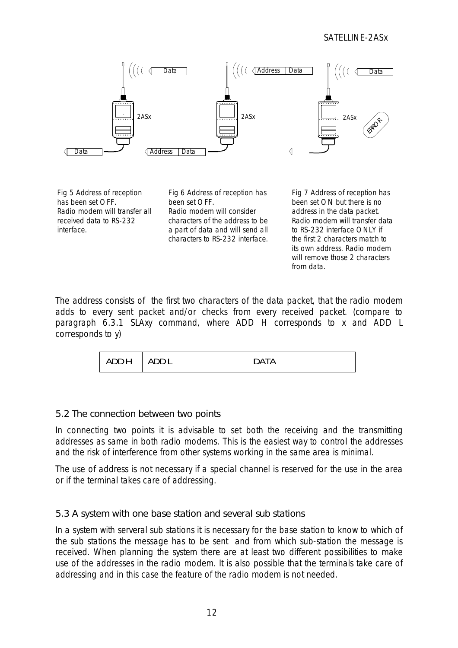#### SATELLINE-2ASx



<span id="page-11-0"></span>Fig 5 Address of reception has been set OFF. Radio modem will transfer all received data to RS-232 interface.

Fig 6 Address of reception has been set OFF. Radio modem will consider characters of the address to be a part of data and will send all characters to RS-232 interface.

Fig 7 Address of reception has been set ON but there is no address in the data packet. Radio modem will transfer data to RS-232 interface ONLY if the first 2 characters match to its own address. Radio modem will remove those 2 characters from data.

The address consists of the first two characters of the data packet, that the radio modem adds to every sent packet and/or checks from every received packet. (compare to paragraph 6.3.1 SLAxy command, where ADD H corresponds to x and ADD L corresponds to y)

| ADD H | <b>ADDI</b> | <b>DATA</b> |
|-------|-------------|-------------|
|-------|-------------|-------------|

#### 5.2 The connection between two points

In connecting two points it is advisable to set both the receiving and the transmitting addresses as same in both radio modems. This is the easiest way to control the addresses and the risk of interference from other systems working in the same area is minimal.

The use of address is not necessary if a special channel is reserved for the use in the area or if the terminal takes care of addressing.

## 5.3 A system with one base station and several sub stations

In a system with serveral sub stations it is necessary for the base station to know to which of the sub stations the message has to be sent and from which sub-station the message is received. When planning the system there are at least two different possibilities to make use of the addresses in the radio modem. It is also possible that the terminals take care of addressing and in this case the feature of the radio modem is not needed.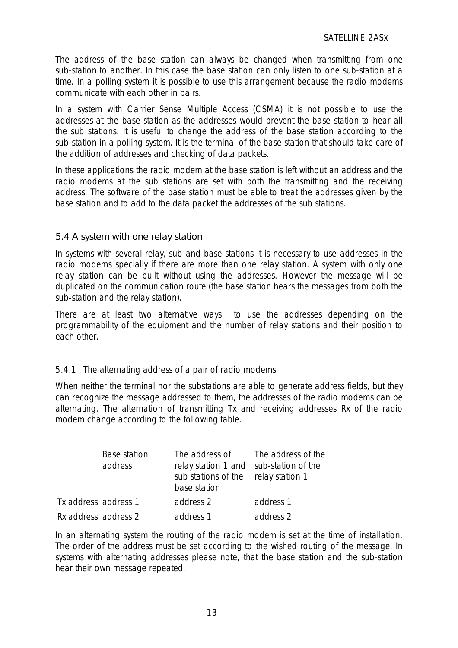The address of the base station can always be changed when transmitting from one sub-station to another. In this case the base station can only listen to one sub-station at a time. In a polling system it is possible to use this arrangement because the radio modems communicate with each other in pairs.

In a system with Carrier Sense Multiple Access (CSMA) it is not possible to use the addresses at the base station as the addresses would prevent the base station to hear all the sub stations. It is useful to change the address of the base station according to the sub-station in a polling system. It is the terminal of the base station that should take care of the addition of addresses and checking of data packets.

<span id="page-12-0"></span>In these applications the radio modem at the base station is left without an address and the radio modems at the sub stations are set with both the transmitting and the receiving address. The software of the base station must be able to treat the addresses given by the base station and to add to the data packet the addresses of the sub stations.

#### <span id="page-12-1"></span>5.4 A system with one relay station

In systems with several relay, sub and base stations it is necessary to use addresses in the radio modems specially if there are more than one relay station. A system with only one relay station can be built without using the addresses. However the message will be duplicated on the communication route (the base station hears the messages from both the sub-station and the relay station).

There are at least two alternative ways to use the addresses depending on the programmability of the equipment and the number of relay stations and their position to each other.

## 5.4.1 The alternating address of a pair of radio modems

When neither the terminal nor the substations are able to generate address fields, but they can recognize the message addressed to them, the addresses of the radio modems can be alternating. The alternation of transmitting Tx and receiving addresses Rx of the radio modem change according to the following table.

|                      | <b>Base station</b><br>address | The address of<br>relay station 1 and<br>sub stations of the<br>base station | The address of the<br>sub-station of the<br>relay station 1 |
|----------------------|--------------------------------|------------------------------------------------------------------------------|-------------------------------------------------------------|
| Tx address address 1 |                                | address 2                                                                    | address 1                                                   |
| Rx address address 2 |                                | address 1                                                                    | address 2                                                   |

In an alternating system the routing of the radio modem is set at the time of installation. The order of the address must be set according to the wished routing of the message. In systems with alternating addresses please note, that the base station and the sub-station hear their own message repeated.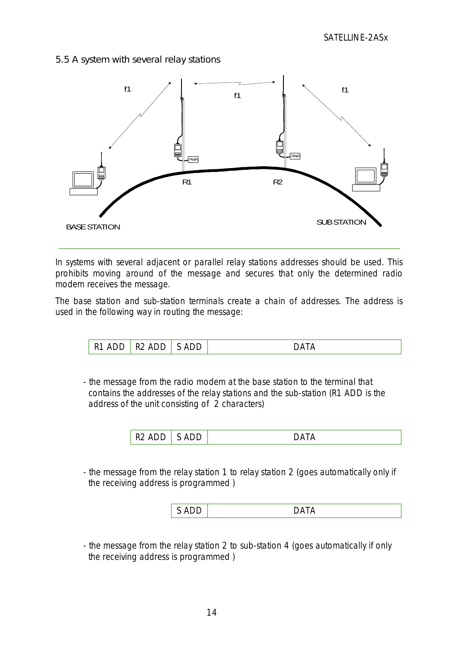<span id="page-13-0"></span>5.5 A system with several relay stations



In systems with several adjacent or parallel relay stations addresses should be used. This prohibits moving around of the message and secures that only the determined radio modem receives the message.

The base station and sub-station terminals create a chain of addresses. The address is used in the following way in routing the message:

| AND<br>R <sub>1</sub> | ADD<br>-R2 | ADD | ٦Δ |
|-----------------------|------------|-----|----|
|                       |            |     |    |

- the message from the radio modem at the base station to the terminal that contains the addresses of the relay stations and the sub-station (R1 ADD is the address of the unit consisting of 2 characters)

| -- |  |
|----|--|
|----|--|

- the message from the relay station 1 to relay station 2 (goes automatically only if the receiving address is programmed )

|--|

- the message from the relay station 2 to sub-station 4 (goes automatically if only the receiving address is programmed )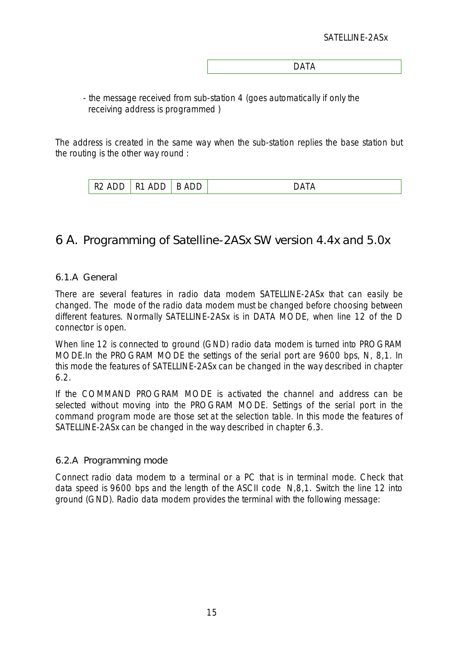| $\Gamma$ $\Lambda$ $\Gamma$ $\Lambda$ |  |
|---------------------------------------|--|
|                                       |  |

- the message received from sub-station 4 (goes automatically if only the receiving address is programmed )

<span id="page-14-0"></span>The address is created in the same way when the sub-station replies the base station but the routing is the other way round :

| $\mathbf{r}$<br>$\mathbf{r}$<br>$\cdots$<br>ັ | - | $\overline{\phantom{0}}$<br>້<br>$\sim$ | ΙĽ |
|-----------------------------------------------|---|-----------------------------------------|----|
|-----------------------------------------------|---|-----------------------------------------|----|

## <span id="page-14-1"></span>6 A. Programming of Satelline-2ASx SW version 4.4x and 5.0x

#### 6.1.A General

There are several features in radio data modem SATELLINE-2ASx that can easily be changed. The mode of the radio data modem must be changed before choosing between different features. Normally SATELLINE-2ASx is in DATA MODE, when line 12 of the D connector is open.

When line 12 is connected to ground (GND) radio data modem is turned into PROGRAM MODE.In the PROGRAM MODE the settings of the serial port are 9600 bps, N, 8,1. In this mode the features of SATELLINE-2ASx can be changed in the way described in chapter 6.2.

If the COMMAND PROGRAM MODE is activated the channel and address can be selected without moving into the PROGRAM MODE. Settings of the serial port in the command program mode are those set at the selection table. In this mode the features of SATELLINE-2ASx can be changed in the way described in chapter 6.3.

#### 6.2.A Programming mode

Connect radio data modem to a terminal or a PC that is in terminal mode. Check that data speed is 9600 bps and the length of the ASCII code N,8,1. Switch the line 12 into ground (GND). Radio data modem provides the terminal with the following message: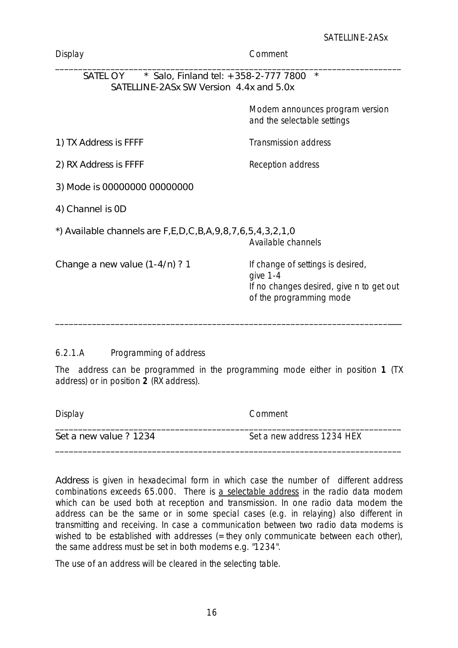| Display                                                                                     | Comment                                                                                                              |
|---------------------------------------------------------------------------------------------|----------------------------------------------------------------------------------------------------------------------|
| SATEL OY<br>* Salo, Finland tel: +358-2-777 7800<br>SATELLINE-2ASx SW Version 4.4x and 5.0x | $\star$                                                                                                              |
|                                                                                             | Modem announces program version<br>and the selectable settings                                                       |
| 1) TX Address is FFFF                                                                       | <b>Transmission address</b>                                                                                          |
| 2) RX Address is FFFF                                                                       | Reception address                                                                                                    |
| 3) Mode is 00000000 00000000                                                                |                                                                                                                      |
| 4) Channel is OD                                                                            |                                                                                                                      |
| *) Available channels are $F, E, D, C, B, A, 9, 8, 7, 6, 5, 4, 3, 2, 1, 0$                  | Available channels                                                                                                   |
| Change a new value $(1-4/n)$ ? 1                                                            | If change of settings is desired,<br>give 1-4<br>If no changes desired, give n to get out<br>of the programming mode |
|                                                                                             |                                                                                                                      |

## <span id="page-15-0"></span>6.2.1.A Programming of address

The address can be programmed in the programming mode either in position **1** (TX address) or in position **2** (RX address).

| Display                | Comment                    |
|------------------------|----------------------------|
| Set a new value ? 1234 | Set a new address 1234 HEX |

Address is given in hexadecimal form in which case the number of different address combinations exceeds 65.000. There is a selectable address in the radio data modem which can be used both at reception and transmission. In one radio data modem the address can be the same or in some special cases (e.g. in relaying) also different in transmitting and receiving. In case a communication between two radio data modems is wished to be established with addresses (=they only communicate between each other), the same address must be set in both modems e.g. "1234".

The use of an address will be cleared in the selecting table.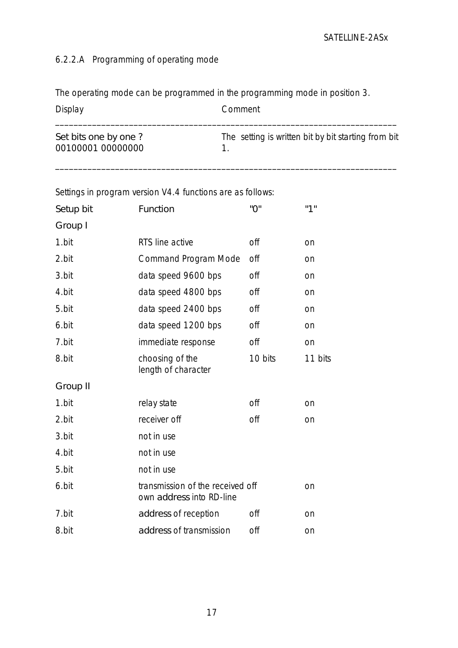## <span id="page-16-0"></span>6.2.2.A Programming of operating mode

The operating mode can be programmed in the programming mode in position 3.

| Display                                   | Comment                                             |
|-------------------------------------------|-----------------------------------------------------|
| Set bits one by one?<br>00100001 00000000 | The setting is written bit by bit starting from bit |

\_\_\_\_\_\_\_\_\_\_\_\_\_\_\_\_\_\_\_\_\_\_\_\_\_\_\_\_\_\_\_\_\_\_\_\_\_\_\_\_\_\_\_\_\_\_\_\_\_\_\_\_\_\_\_\_\_\_\_\_\_\_\_\_\_\_\_\_\_\_\_\_\_\_

Settings in program version V4.4 functions are as follows:

| Setup bit | Function                                                     | "0"        | "1"     |
|-----------|--------------------------------------------------------------|------------|---------|
| Group I   |                                                              |            |         |
| 1.bit     | RTS line active                                              | <b>off</b> | on      |
| 2.bit     | <b>Command Program Mode</b>                                  | off        | on      |
| 3.bit     | data speed 9600 bps                                          | off        | on      |
| 4.bit     | data speed 4800 bps                                          | off        | on      |
| 5.bit     | data speed 2400 bps                                          | off        | on      |
| 6.bit     | data speed 1200 bps                                          | off        | on      |
| 7.bit     | immediate response                                           | off        | on      |
| 8.bit     | choosing of the<br>length of character                       | 10 bits    | 11 bits |
| Group II  |                                                              |            |         |
| 1.bit     | relay state                                                  | off        | on      |
| 2.bit     | receiver off                                                 | off        | on      |
| 3.bit     | not in use                                                   |            |         |
| 4.bit     | not in use                                                   |            |         |
| 5.bit     | not in use                                                   |            |         |
| 6.bit     | transmission of the received off<br>own address into RD-line |            | on      |
| 7.bit     | address of reception                                         | off        | on      |
| 8.bit     | address of transmission                                      | off        | on      |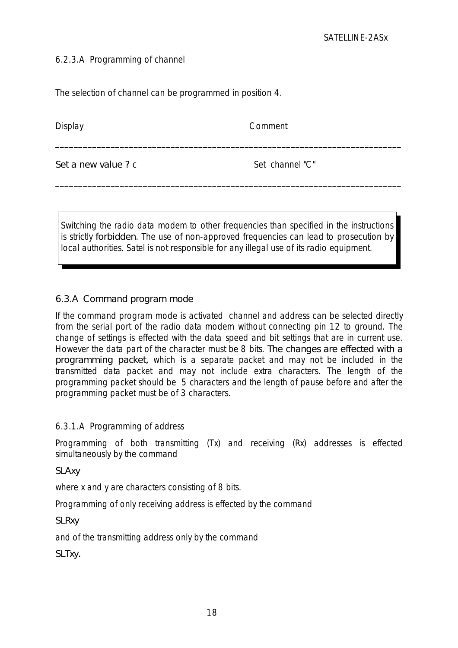#### <span id="page-17-0"></span>6.2.3.A Programming of channel

The selection of channel can be programmed in position 4.

Display Comment

Set a new value ? *c* Set channel "C"

<span id="page-17-1"></span>Switching the radio data modem to other frequencies than specified in the instructions is strictly forbidden. The use of non-approved frequencies can lead to prosecution by local authorities. Satel is not responsible for any illegal use of its radio equipment.

\_\_\_\_\_\_\_\_\_\_\_\_\_\_\_\_\_\_\_\_\_\_\_\_\_\_\_\_\_\_\_\_\_\_\_\_\_\_\_\_\_\_\_\_\_\_\_\_\_\_\_\_\_\_\_\_\_\_\_\_\_\_\_\_\_\_\_\_\_\_\_\_\_\_\_

\_\_\_\_\_\_\_\_\_\_\_\_\_\_\_\_\_\_\_\_\_\_\_\_\_\_\_\_\_\_\_\_\_\_\_\_\_\_\_\_\_\_\_\_\_\_\_\_\_\_\_\_\_\_\_\_\_\_\_\_\_\_\_\_\_\_\_\_\_\_\_\_\_\_\_

## 6.3.A Command program mode

If the command program mode is activated channel and address can be selected directly from the serial port of the radio data modem without connecting pin 12 to ground. The change of settings is effected with the data speed and bit settings that are in current use. However the data part of the character must be 8 bits. The changes are effected with a programming packet, which is a separate packet and may not be included in the transmitted data packet and may not include extra characters. The length of the programming packet should be 5 characters and the length of pause before and after the programming packet must be of 3 characters.

## 6.3.1.A Programming of address

Programming of both transmitting (Tx) and receiving (Rx) addresses is effected simultaneously by the command

SLAxy

where x and y are characters consisting of 8 bits.

Programming of only receiving address is effected by the command

**SLRxy** 

and of the transmitting address only by the command

SLTxy.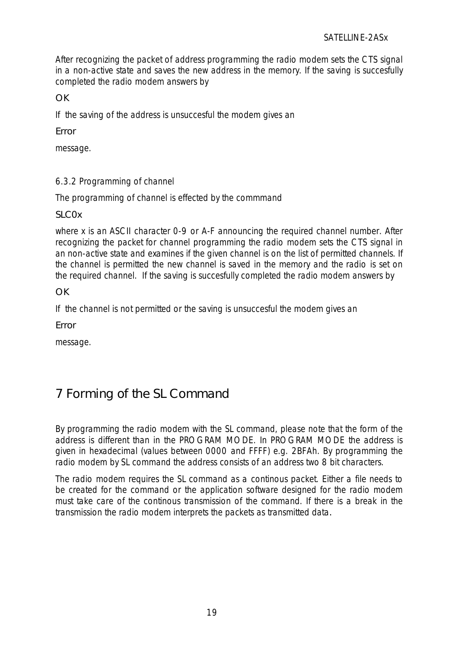After recognizing the packet of address programming the radio modem sets the CTS signal in a non-active state and saves the new address in the memory. If the saving is succesfully completed the radio modem answers by

**OK** 

If the saving of the address is unsuccesful the modem gives an

<span id="page-18-0"></span>Error

message.

## 6.3.2 Programming of channel

The programming of channel is effected by the commmand

SLC<sub>Ox</sub>

<span id="page-18-1"></span>where x is an ASCII character 0-9 or A-F announcing the required channel number. After recognizing the packet for channel programming the radio modem sets the CTS signal in an non-active state and examines if the given channel is on the list of permitted channels. If the channel is permitted the new channel is saved in the memory and the radio is set on the required channel. If the saving is succesfully completed the radio modem answers by

OK

If the channel is not permitted or the saving is unsuccesful the modem gives an

Error

message.

# 7 Forming of the SL Command

By programming the radio modem with the SL command, please note that the form of the address is different than in the PROGRAM MODE. In PROGRAM MODE the address is given in hexadecimal (values between 0000 and FFFF) e.g. 2BFAh. By programming the radio modem by SL command the address consists of an address two 8 bit characters.

The radio modem requires the SL command as a continous packet. Either a file needs to be created for the command or the application software designed for the radio modem must take care of the continous transmission of the command. If there is a break in the transmission the radio modem interprets the packets as transmitted data.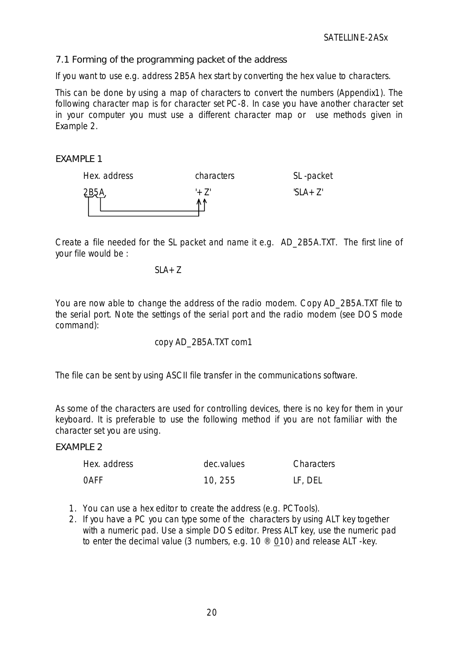<span id="page-19-0"></span>7.1 Forming of the programming packet of the address

If you want to use e.g. address 2B5A hex start by converting the hex value to characters.

This can be done by using a map of characters to convert the numbers (Appendix1). The following character map is for character set PC-8. In case you have another character set in your computer you must use a different character map or use methods given in Example 2.

#### **FXAMPLE 1**



Create a file needed for the SL packet and name it e.g. AD\_2B5A.TXT. The first line of your file would be :

*SLA+Z*

You are now able to change the address of the radio modem. Copy AD\_2B5A.TXT file to the serial port. Note the settings of the serial port and the radio modem (see DOS *mode* command):

#### *copy AD\_2B5A.TXT com1*

The file can be sent by using ASCII file transfer in the communications software.

As some of the characters are used for controlling devices, there is no key for them in your keyboard. It is preferable to use the following method if you are not familiar with the character set you are using.

#### **FXAMPLE 2**

| Hex. address | dec.values | Characters |
|--------------|------------|------------|
| 0AFF         | 10, 255    | LF, DEL    |

- 1. You can use a hex editor to create the address (e.g. PCTools).
- 2. If you have a PC you can type some of the characters by using ALT key together with a numeric pad. Use a simple DOS editor. Press ALT key, use the numeric pad to enter the decimal value (3 numbers, e.g. 10 ® 010) and release ALT -key.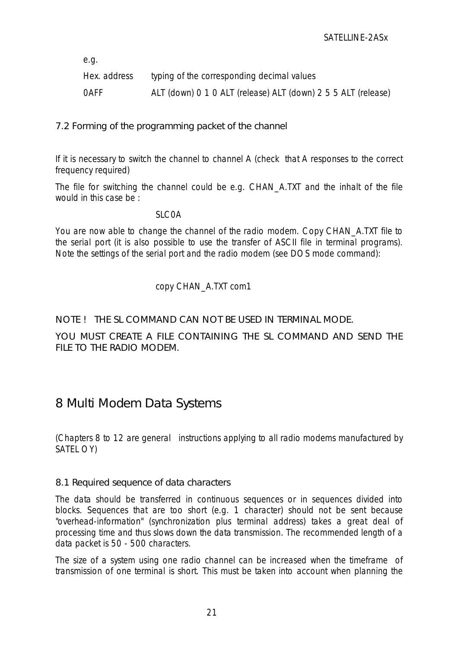<span id="page-20-0"></span>*e.g.*

| Hex. address | typing of the corresponding decimal values                    |
|--------------|---------------------------------------------------------------|
| OAFF         | ALT (down) 0 1 0 ALT (release) ALT (down) 2 5 5 ALT (release) |

7.2 Forming of the programming packet of the channel

If it is necessary to switch the channel to channel A (check that A responses to the correct frequency required)

The file for switching the channel could be e.g. CHAN\_A.TXT and the inhalt of the file would in this case be :

*SLC0A*

<span id="page-20-1"></span>You are now able to change the channel of the radio modem. Copy CHAN\_A.TXT file to the serial port (it is also possible to use the transfer of ASCII file in terminal programs). Note the settings of the serial port and the radio modem (see DOS *mode* command):

## *copy CHAN\_A.TXT com1*

## NOTE ! THE SL COMMAND CAN NOT BE USED IN TERMINAL MODE.

YOU MUST CREATE A FILE CONTAINING THE SL COMMAND AND SEND THE FILE TO THE RADIO MODEM.

## 8 Multi Modem Data Systems

(Chapters 8 to 12 are general instructions applying to all radio modems manufactured by SATEL OY)

## 8.1 Required sequence of data characters

The data should be transferred in continuous sequences or in sequences divided into blocks. Sequences that are too short (e.g. 1 character) should not be sent because "overhead-information" (synchronization plus terminal address) takes a great deal of processing time and thus slows down the data transmission. The recommended length of a data packet is 50 - 500 characters.

The size of a system using one radio channel can be increased when the timeframe of transmission of one terminal is short. This must be taken into account when planning the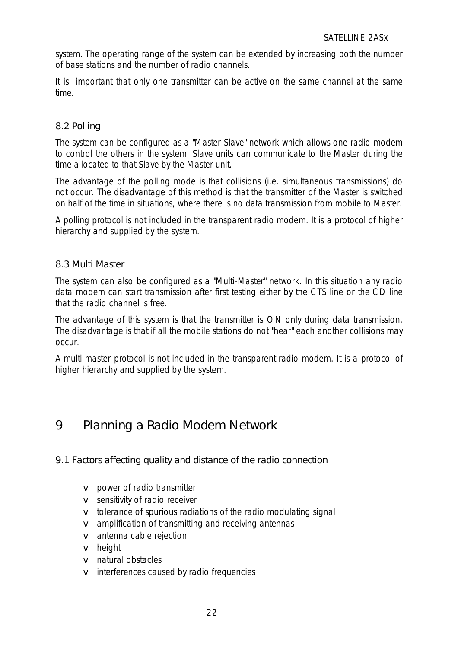system. The operating range of the system can be extended by increasing both the number of base stations and the number of radio channels.

<span id="page-21-0"></span>It is important that only one transmitter can be active on the same channel at the same time.

## 8.2 Polling

The system can be configured as a "Master-Slave" network which allows one radio modem to control the others in the system. Slave units can communicate to the Master during the time allocated to that Slave by the Master unit.

The advantage of the polling mode is that collisions (i.e. simultaneous transmissions) do not occur. The disadvantage of this method is that the transmitter of the Master is switched on half of the time in situations, where there is no data transmission from mobile to Master.

<span id="page-21-1"></span>*A polling protocol is not included in the transparent radio modem. It is a protocol of higher hierarchy and supplied by the system.*

#### 8.3 Multi Master

The system can also be configured as a "Multi-Master" network. In this situation any radio data modem can start transmission after first testing either by the CTS line or the CD line that the radio channel is free.

The advantage of this system is that the transmitter is ON only during data transmission. The disadvantage is that if all the mobile stations do not "hear" each another collisions may occur.

*A multi master protocol is not included in the transparent radio modem. It is a protocol of higher hierarchy and supplied by the system.*

## 9 Planning a Radio Modem Network

9.1 Factors affecting quality and distance of the radio connection

- v power of radio transmitter
- v sensitivity of radio receiver
- v tolerance of spurious radiations of the radio modulating signal
- v amplification of transmitting and receiving antennas
- v antenna cable rejection
- v height
- v natural obstacles
- v interferences caused by radio frequencies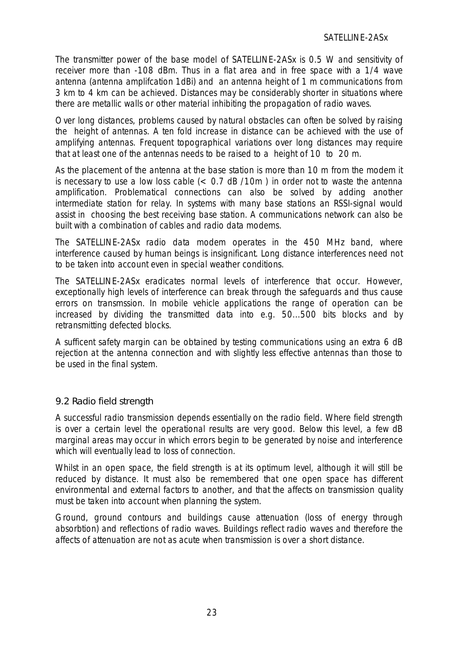The transmitter power of the base model of SATELLINE-2ASx is 0.5 W and sensitivity of receiver more than -108 dBm. Thus in a flat area and in free space with a 1/4 wave antenna (antenna amplifcation 1dBi) and an antenna height of 1 m communications from 3 km to 4 km can be achieved. Distances may be considerably shorter in situations where there are metallic walls or other material inhibiting the propagation of radio waves.

Over long distances, problems caused by natural obstacles can often be solved by raising the height of antennas. A ten fold increase in distance can be achieved with the use of amplifying antennas. Frequent topographical variations over long distances may require that at least one of the antennas needs to be raised to a height of 10 to 20 m.

As the placement of the antenna at the base station is more than 10 m from the modem it is necessary to use a low loss cable  $(< 0.7$  dB  $/10m$  ) in order not to waste the antenna amplification. Problematical connections can also be solved by adding another intermediate station for relay. In systems with many base stations an RSSI-signal would assist in choosing the best receiving base station. A communications network can also be built with a combination of cables and radio data modems.

<span id="page-22-0"></span>The SATELLINE-2ASx radio data modem operates in the 450 MHz band, where interference caused by human beings is insignificant. Long distance interferences need not to be taken into account even in special weather conditions.

The SATELLINE-2ASx eradicates normal levels of interference that occur. However, exceptionally high levels of interference can break through the safeguards and thus cause errors on transmssion. In mobile vehicle applications the range of operation can be increased by dividing the transmitted data into e.g. 50...500 bits blocks and by retransmitting defected blocks.

A sufficent safety margin can be obtained by testing communications using an extra 6 dB rejection at the antenna connection and with slightly less effective antennas than those to be used in the final system.

#### 9.2 Radio field strength

A successful radio transmission depends essentially on the radio field. Where field strength is over a certain level the operational results are very good. Below this level, a few dB marginal areas may occur in which errors begin to be generated by noise and interference which will eventually lead to loss of connection.

Whilst in an open space, the field strength is at its optimum level, although it will still be reduced by distance. It must also be remembered that one open space has different environmental and external factors to another, and that the affects on transmission quality must be taken into account when planning the system.

Ground, ground contours and buildings cause attenuation (loss of energy through absorbtion) and reflections of radio waves. Buildings reflect radio waves and therefore the affects of attenuation are not as acute when transmission is over a short distance.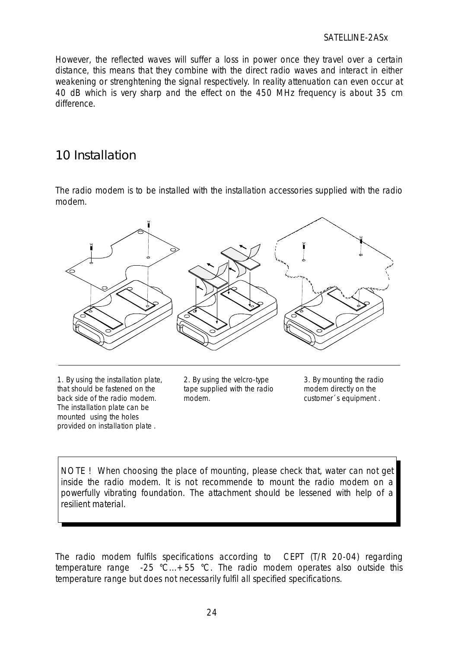<span id="page-23-0"></span>However, the reflected waves will suffer a loss in power once they travel over a certain distance, this means that they combine with the direct radio waves and interact in either weakening or strenghtening the signal respectively. In reality attenuation can even occur at 40 dB which is very sharp and the effect on the 450 MHz frequency is about 35 cm difference.

## 10 Installation

The radio modem is to be installed with the installation accessories supplied with the radio modem.



1. By using the installation plate, that should be fastened on the back side of the radio modem. The installation plate can be mounted using the holes provided on installation plate .

2. By using the velcro-type tape supplied with the radio modem.

3. By mounting the radio modem directly on the customer´s equipment .

NOTE ! When choosing the place of mounting, please check that, water can not get inside the radio modem. It is not recommende to mount the radio modem on a powerfully vibrating foundation. The attachment should be lessened with help of a resilient material.

The radio modem fulfils specifications according to CEPT (T/R 20-04) regarding temperature range -25 °C...+55 °C. The radio modem operates also outside this temperature range but does not necessarily fulfil all specified specifications.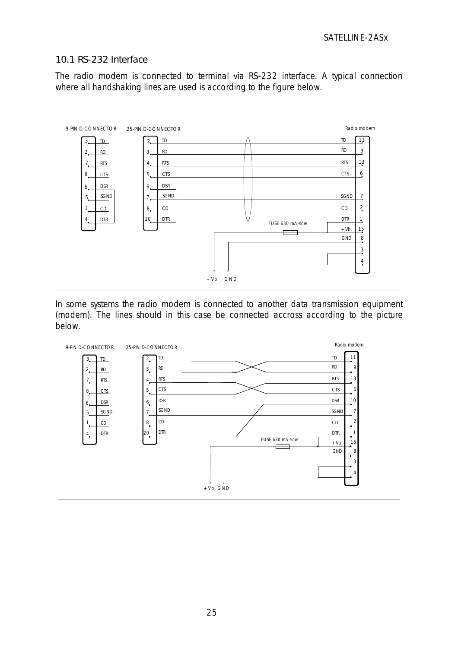#### <span id="page-24-0"></span>10.1 RS-232 Interface

The radio modem is connected to terminal via RS-232 interface. A typical connection where all handshaking lines are used is according to the figure below.



In some systems the radio modem is connected to another data transmission equipment (modem). The lines should in this case be connected accross according to the picture below.

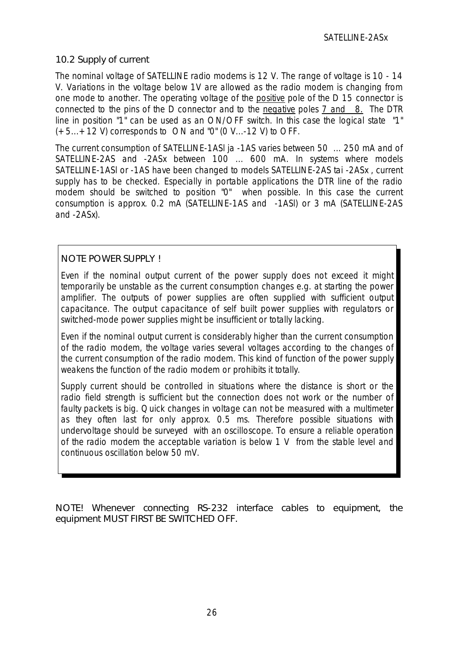## <span id="page-25-0"></span>10.2 Supply of current

The nominal voltage of SATELLINE radio modems is 12 V. The range of voltage is 10 - 14 V. Variations in the voltage below 1V are allowed as the radio modem is changing from one mode to another. The operating voltage of the positive pole of the D 15 connector is connected to the pins of the D connector and to the negative poles 7 and 8. The DTR line in position "1" can be used as an ON/OFF switch. In this case the logical state "1"  $(+5...+12)$  V) corresponds to ON and "0" (0 V...-12 V) to OFF.

The current consumption of SATELLINE-1ASl ja -1AS varies between 50 ... 250 mA and of SATELLINE-2AS and -2ASx between 100 ... 600 mA. In systems where models SATELLINE-1ASl or -1AS have been changed to models SATELLINE-2AS tai -2ASx , current supply has to be checked. Especially in portable applications the DTR line of the radio modem should be switched to position "0" when possible. In this case the current consumption is approx. 0.2 mA (SATELLINE-1AS and -1ASl) or 3 mA (SATELLINE-2AS and -2ASx).

## NOTE POWER SUPPLY !

Even if the nominal output current of the power supply does not exceed it might temporarily be unstable as the current consumption changes e.g. at starting the power amplifier. The outputs of power supplies are often supplied with sufficient output capacitance. The output capacitance of self built power supplies with regulators or switched-mode power supplies might be insufficient or totally lacking.

Even if the nominal output current is considerably higher than the current consumption of the radio modem, the voltage varies several voltages according to the changes of the current consumption of the radio modem. This kind of function of the power supply weakens the function of the radio modem or prohibits it totally.

Supply current should be controlled in situations where the distance is short or the radio field strength is sufficient but the connection does not work or the number of faulty packets is big. Quick changes in voltage can not be measured with a multimeter as they often last for only approx. 0.5 ms. Therefore possible situations with undervoltage should be surveyed with an oscilloscope. To ensure a reliable operation of the radio modem the acceptable variation is below 1 V from the stable level and continuous oscillation below 50 mV.

NOTE! Whenever connecting RS-232 interface cables to equipment, the equipment MUST FIRST BE SWITCHED OFF.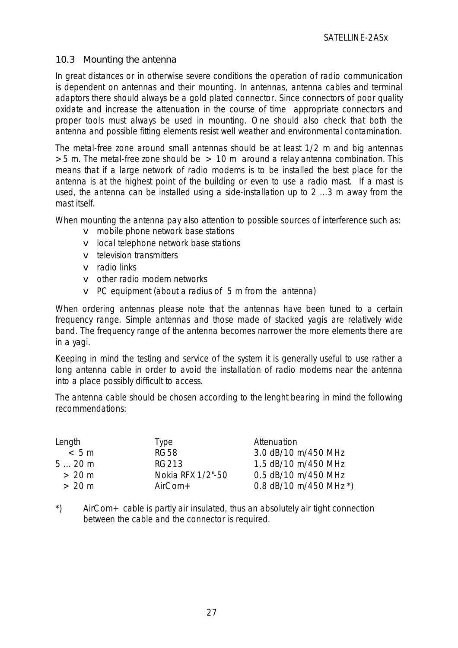#### <span id="page-26-0"></span>10.3 Mounting the antenna

In great distances or in otherwise severe conditions the operation of radio communication is dependent on antennas and their mounting. In antennas, antenna cables and terminal adaptors there should always be a gold plated connector. Since connectors of poor quality oxidate and increase the attenuation in the course of time appropriate connectors and proper tools must always be used in mounting. One should also check that both the antenna and possible fitting elements resist well weather and environmental contamination.

The metal-free zone around small antennas should be at least 1/2 m and big antennas  $>5$  m. The metal-free zone should be  $> 10$  m around a relay antenna combination. This means that if a large network of radio modems is to be installed the best place for the antenna is at the highest point of the building or even to use a radio mast. If a mast is used, the antenna can be installed using a side-installation up to 2 ...3 m away from the mast itself.

When mounting the antenna pay also attention to possible sources of interference such as:

- v mobile phone network base stations
- v local telephone network base stations
- v television transmitters
- v radio links
- v other radio modem networks
- v PC equipment (about a radius of 5 m from the antenna)

When ordering antennas please note that the antennas have been tuned to a certain frequency range. Simple antennas and those made of stacked yagis are relatively wide band. The frequency range of the antenna becomes narrower the more elements there are in a yagi.

Keeping in mind the testing and service of the system it is generally useful to use rather a long antenna cable in order to avoid the installation of radio modems near the antenna into a place possibly difficult to access.

The antenna cable should be chosen according to the lenght bearing in mind the following recommendations:

| Length | <b>Type</b>       | Attenuation            |
|--------|-------------------|------------------------|
| < 5m   | <b>RG58</b>       | 3.0 dB/10 m/450 MHz    |
| 520m   | <b>RG213</b>      | 1.5 dB/10 m/450 MHz    |
| > 20 m | Nokia RFX 1/2"-50 | 0.5 dB/10 m/450 MHz    |
| > 20 m | $AirCom+$         | 0.8 dB/10 m/450 MHz *) |

\*) AirCom+ cable is partly air insulated, thus an absolutely air tight connection between the cable and the connector is required.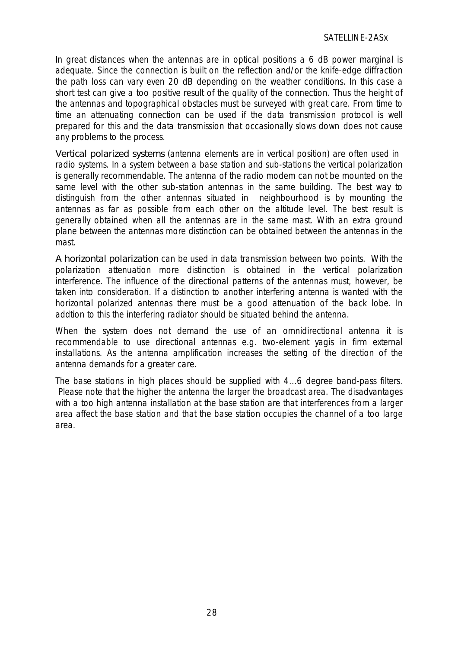In great distances when the antennas are in optical positions a 6 dB power marginal is adequate. Since the connection is built on the reflection and/or the knife-edge diffraction the path loss can vary even 20 dB depending on the weather conditions. In this case a short test can give a too positive result of the quality of the connection. Thus the height of the antennas and topographical obstacles must be surveyed with great care. From time to time an attenuating connection can be used if the data transmission protocol is well prepared for this and the data transmission that occasionally slows down does not cause any problems to the process.

Vertical polarized systems (antenna elements are in vertical position) are often used in radio systems. In a system between a base station and sub-stations the vertical polarization is generally recommendable. The antenna of the radio modem can not be mounted on the same level with the other sub-station antennas in the same building. The best way to distinguish from the other antennas situated in neighbourhood is by mounting the antennas as far as possible from each other on the altitude level. The best result is generally obtained when all the antennas are in the same mast. With an extra ground plane between the antennas more distinction can be obtained between the antennas in the mast.

A horizontal polarization can be used in data transmission between two points. With the polarization attenuation more distinction is obtained in the vertical polarization interference. The influence of the directional patterns of the antennas must, however, be taken into consideration. If a distinction to another interfering antenna is wanted with the horizontal polarized antennas there must be a good attenuation of the back lobe. In addtion to this the interfering radiator should be situated behind the antenna.

When the system does not demand the use of an omnidirectional antenna it is recommendable to use directional antennas e.g. two-element yagis in firm external installations. As the antenna amplification increases the setting of the direction of the antenna demands for a greater care.

The base stations in high places should be supplied with 4...6 degree band-pass filters. Please note that the higher the antenna the larger the broadcast area. The disadvantages with a too high antenna installation at the base station are that interferences from a larger area affect the base station and that the base station occupies the channel of a too large area.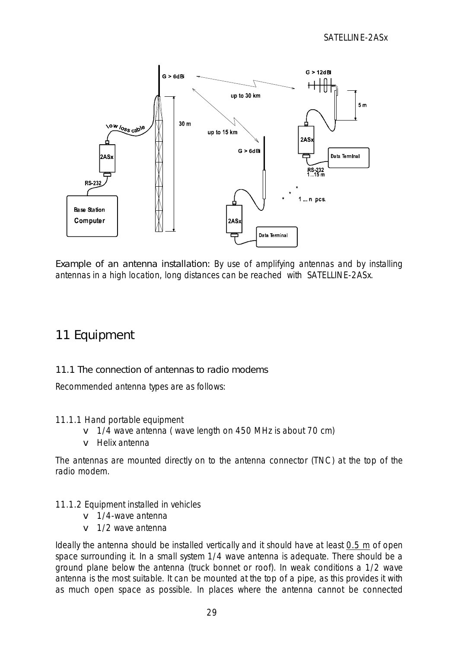

<span id="page-28-0"></span>Example of an antenna installation: By use of amplifying antennas and by installing antennas in a high location, long distances can be reached with SATELLINE-2ASx.

# 11 Equipment

## 11.1 The connection of antennas to radio modems

Recommended antenna types are as follows:

#### 11.1.1 Hand portable equipment

- v 1/4 wave antenna (wave length on 450 MHz is about 70 cm)
- v Helix antenna

The antennas are mounted directly on to the antenna connector (TNC) at the top of the radio modem.

#### 11.1.2 Equipment installed in vehicles

- v 1/4-wave antenna
- v 1/2 wave antenna

Ideally the antenna should be installed vertically and it should have at least 0.5 m of open space surrounding it. In a small system 1/4 wave antenna is adequate. There should be a ground plane below the antenna (truck bonnet or roof). In weak conditions a 1/2 wave antenna is the most suitable. It can be mounted at the top of a pipe, as this provides it with as much open space as possible. In places where the antenna cannot be connected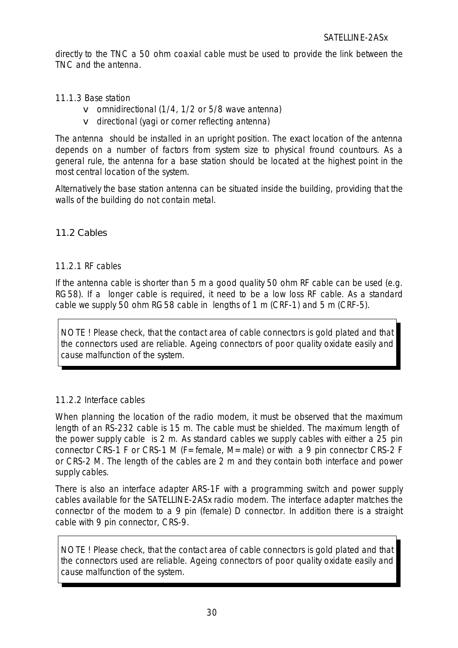<span id="page-29-1"></span>directly to the TNC a 50 ohm coaxial cable must be used to provide the link between the TNC and the antenna.

<span id="page-29-0"></span>11.1.3 Base station

- v omnidirectional (1/4, 1/2 or 5/8 wave antenna)
- v directional (yagi or corner reflecting antenna)

The antenna should be installed in an upright position. The exact location of the antenna depends on a number of factors from system size to physical fround countours. As a general rule, the antenna for a base station should be located at the highest point in the most central location of the system.

Alternatively the base station antenna can be situated inside the building, providing that the walls of the building do not contain metal.

## <span id="page-29-2"></span>11.2 Cables

#### 11.2.1 RF cables

If the antenna cable is shorter than 5 m a good quality 50 ohm RF cable can be used (e.g. RG58). If a longer cable is required, it need to be a low loss RF cable. As a standard cable we supply 50 ohm RG58 cable in lengths of 1 m (CRF-1) and 5 m (CRF-5).

NOTE ! Please check, that the contact area of cable connectors is gold plated and that the connectors used are reliable. Ageing connectors of poor quality oxidate easily and cause malfunction of the system.

## 11.2.2 Interface cables

When planning the location of the radio modem, it must be observed that the maximum length of an RS-232 cable is 15 m. The cable must be shielded. The maximum length of the power supply cable is 2 m. As standard cables we supply cables with either a 25 pin connector CRS-1 F or CRS-1 M (F=female, M=male) or with a 9 pin connector CRS-2 F or CRS-2 M. The length of the cables are 2 m and they contain both interface and power supply cables.

There is also an interface adapter ARS-1F with a programming switch and power supply cables available for the SATELLINE-2ASx radio modem. The interface adapter matches the connector of the modem to a 9 pin (female) D connector. In addition there is a straight cable with 9 pin connector, CRS-9.

NOTE ! Please check, that the contact area of cable connectors is gold plated and that the connectors used are reliable. Ageing connectors of poor quality oxidate easily and cause malfunction of the system.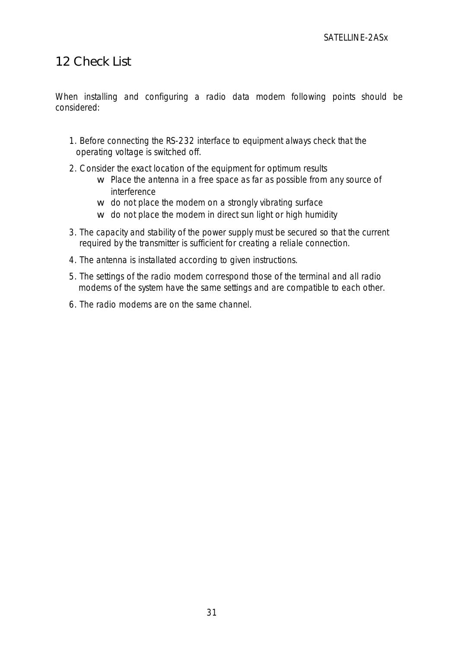## <span id="page-30-0"></span>12 Check List

When installing and configuring a radio data modem following points should be considered:

- 1. Before connecting the RS-232 interface to equipment always check that the operating voltage is switched off.
- 2. Consider the exact location of the equipment for optimum results
	- w Place the antenna in a free space as far as possible from any source of interference
	- w do not place the modem on a strongly vibrating surface
	- w do not place the modem in direct sun light or high humidity
- 3. The capacity and stability of the power supply must be secured so that the current required by the transmitter is sufficient for creating a reliale connection.
- 4. The antenna is installated according to given instructions.
- 5. The settings of the radio modem correspond those of the terminal and all radio modems of the system have the same settings and are compatible to each other.
- 6. The radio modems are on the same channel.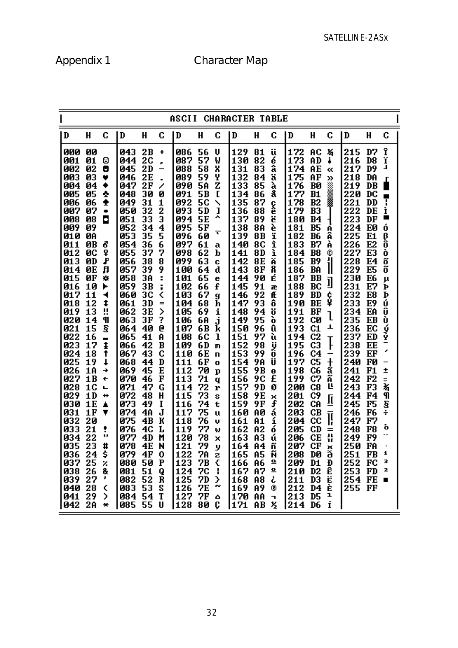# Appendix 1 C

| Character Map |  |
|---------------|--|
|---------------|--|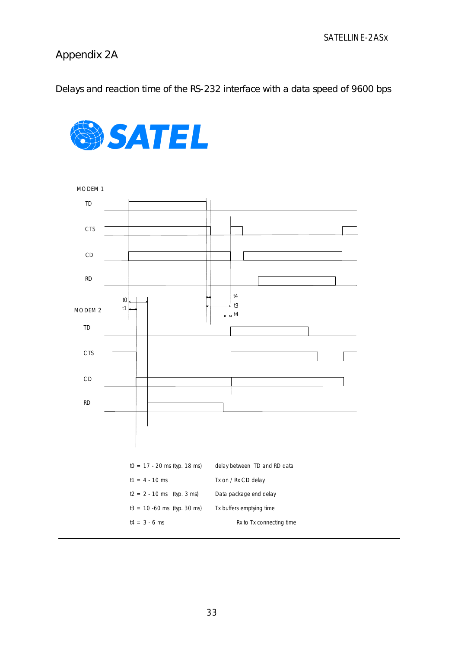## Appendix 2A

Delays and reaction time of the RS-232 interface with a data speed of 9600 bps



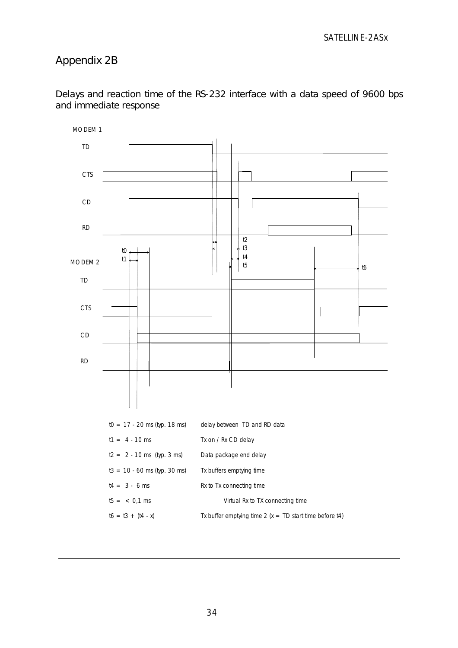## Appendix 2B



Delays and reaction time of the RS-232 interface with a data speed of 9600 bps and immediate response